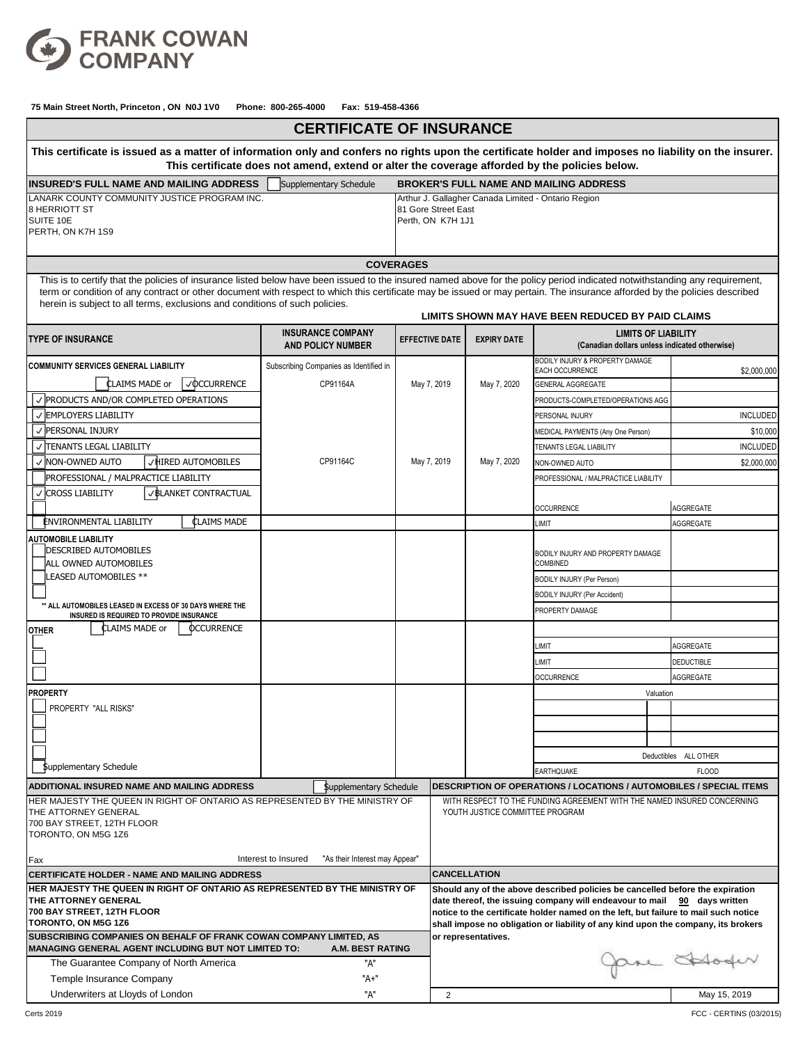

| This certificate is issued as a matter of information only and confers no rights upon the certificate holder and imposes no liability on the insurer.<br>This certificate does not amend, extend or alter the coverage afforded by the policies below.<br><b>INSURED'S FULL NAME AND MAILING ADDRESS</b><br>Supplementary Schedule<br><b>BROKER'S FULL NAME AND MAILING ADDRESS</b><br>LANARK COUNTY COMMUNITY JUSTICE PROGRAM INC.<br>Arthur J. Gallagher Canada Limited - Ontario Region<br>8 HERRIOTT ST<br>81 Gore Street East<br>SUITE 10E<br>Perth, ON K7H 1J1<br>PERTH, ON K7H 1S9<br><b>COVERAGES</b><br>This is to certify that the policies of insurance listed below have been issued to the insured named above for the policy period indicated notwithstanding any requirement,<br>term or condition of any contract or other document with respect to which this certificate may be issued or may pertain. The insurance afforded by the policies described<br>herein is subject to all terms, exclusions and conditions of such policies.<br>LIMITS SHOWN MAY HAVE BEEN REDUCED BY PAID CLAIMS<br><b>INSURANCE COMPANY</b><br><b>LIMITS OF LIABILITY</b><br><b>TYPE OF INSURANCE</b><br><b>EFFECTIVE DATE</b><br><b>EXPIRY DATE</b><br>(Canadian dollars unless indicated otherwise)<br><b>AND POLICY NUMBER</b><br><b>BODILY INJURY &amp; PROPERTY DAMAGE</b><br><b>COMMUNITY SERVICES GENERAL LIABILITY</b><br>Subscribing Companies as Identified in<br>EACH OCCURRENCE<br>\$2,000,000<br><b>CLAIMS MADE or</b><br>$\sqrt{OCURRENCE}$<br>CP91164A<br>May 7, 2020<br>May 7, 2019<br><b>GENERAL AGGREGATE</b><br>$\vee$ PRODUCTS AND/OR COMPLETED OPERATIONS<br>PRODUCTS-COMPLETED/OPERATIONS AGG<br>√ EMPLOYERS LIABILITY<br><b>INCLUDED</b><br>PERSONAL INJURY |  |  |  |
|----------------------------------------------------------------------------------------------------------------------------------------------------------------------------------------------------------------------------------------------------------------------------------------------------------------------------------------------------------------------------------------------------------------------------------------------------------------------------------------------------------------------------------------------------------------------------------------------------------------------------------------------------------------------------------------------------------------------------------------------------------------------------------------------------------------------------------------------------------------------------------------------------------------------------------------------------------------------------------------------------------------------------------------------------------------------------------------------------------------------------------------------------------------------------------------------------------------------------------------------------------------------------------------------------------------------------------------------------------------------------------------------------------------------------------------------------------------------------------------------------------------------------------------------------------------------------------------------------------------------------------------------------------------------------------------------------------------------------------------------------------------------------------|--|--|--|
|                                                                                                                                                                                                                                                                                                                                                                                                                                                                                                                                                                                                                                                                                                                                                                                                                                                                                                                                                                                                                                                                                                                                                                                                                                                                                                                                                                                                                                                                                                                                                                                                                                                                                                                                                                                  |  |  |  |
|                                                                                                                                                                                                                                                                                                                                                                                                                                                                                                                                                                                                                                                                                                                                                                                                                                                                                                                                                                                                                                                                                                                                                                                                                                                                                                                                                                                                                                                                                                                                                                                                                                                                                                                                                                                  |  |  |  |
|                                                                                                                                                                                                                                                                                                                                                                                                                                                                                                                                                                                                                                                                                                                                                                                                                                                                                                                                                                                                                                                                                                                                                                                                                                                                                                                                                                                                                                                                                                                                                                                                                                                                                                                                                                                  |  |  |  |
|                                                                                                                                                                                                                                                                                                                                                                                                                                                                                                                                                                                                                                                                                                                                                                                                                                                                                                                                                                                                                                                                                                                                                                                                                                                                                                                                                                                                                                                                                                                                                                                                                                                                                                                                                                                  |  |  |  |
|                                                                                                                                                                                                                                                                                                                                                                                                                                                                                                                                                                                                                                                                                                                                                                                                                                                                                                                                                                                                                                                                                                                                                                                                                                                                                                                                                                                                                                                                                                                                                                                                                                                                                                                                                                                  |  |  |  |
|                                                                                                                                                                                                                                                                                                                                                                                                                                                                                                                                                                                                                                                                                                                                                                                                                                                                                                                                                                                                                                                                                                                                                                                                                                                                                                                                                                                                                                                                                                                                                                                                                                                                                                                                                                                  |  |  |  |
|                                                                                                                                                                                                                                                                                                                                                                                                                                                                                                                                                                                                                                                                                                                                                                                                                                                                                                                                                                                                                                                                                                                                                                                                                                                                                                                                                                                                                                                                                                                                                                                                                                                                                                                                                                                  |  |  |  |
|                                                                                                                                                                                                                                                                                                                                                                                                                                                                                                                                                                                                                                                                                                                                                                                                                                                                                                                                                                                                                                                                                                                                                                                                                                                                                                                                                                                                                                                                                                                                                                                                                                                                                                                                                                                  |  |  |  |
|                                                                                                                                                                                                                                                                                                                                                                                                                                                                                                                                                                                                                                                                                                                                                                                                                                                                                                                                                                                                                                                                                                                                                                                                                                                                                                                                                                                                                                                                                                                                                                                                                                                                                                                                                                                  |  |  |  |
|                                                                                                                                                                                                                                                                                                                                                                                                                                                                                                                                                                                                                                                                                                                                                                                                                                                                                                                                                                                                                                                                                                                                                                                                                                                                                                                                                                                                                                                                                                                                                                                                                                                                                                                                                                                  |  |  |  |
|                                                                                                                                                                                                                                                                                                                                                                                                                                                                                                                                                                                                                                                                                                                                                                                                                                                                                                                                                                                                                                                                                                                                                                                                                                                                                                                                                                                                                                                                                                                                                                                                                                                                                                                                                                                  |  |  |  |
| √ PERSONAL INJURY<br>\$10,000<br>MEDICAL PAYMENTS (Any One Person)                                                                                                                                                                                                                                                                                                                                                                                                                                                                                                                                                                                                                                                                                                                                                                                                                                                                                                                                                                                                                                                                                                                                                                                                                                                                                                                                                                                                                                                                                                                                                                                                                                                                                                               |  |  |  |
| √  TENANTS LEGAL LIABILITY<br><b>INCLUDED</b><br><b>TENANTS LEGAL LIABILITY</b>                                                                                                                                                                                                                                                                                                                                                                                                                                                                                                                                                                                                                                                                                                                                                                                                                                                                                                                                                                                                                                                                                                                                                                                                                                                                                                                                                                                                                                                                                                                                                                                                                                                                                                  |  |  |  |
| VHIRED AUTOMOBILES<br>May 7, 2020<br>May 7, 2019<br>√  NON-OWNED AUTO<br>CP91164C<br>\$2,000,000<br>NON-OWNED AUTO                                                                                                                                                                                                                                                                                                                                                                                                                                                                                                                                                                                                                                                                                                                                                                                                                                                                                                                                                                                                                                                                                                                                                                                                                                                                                                                                                                                                                                                                                                                                                                                                                                                               |  |  |  |
| PROFESSIONAL / MALPRACTICE LIABILITY<br>PROFESSIONAL / MALPRACTICE LIABILITY                                                                                                                                                                                                                                                                                                                                                                                                                                                                                                                                                                                                                                                                                                                                                                                                                                                                                                                                                                                                                                                                                                                                                                                                                                                                                                                                                                                                                                                                                                                                                                                                                                                                                                     |  |  |  |
| <b>VBLANKET CONTRACTUAL</b><br>√ CROSS LIABILITY<br>AGGREGATE<br><b>OCCURRENCE</b>                                                                                                                                                                                                                                                                                                                                                                                                                                                                                                                                                                                                                                                                                                                                                                                                                                                                                                                                                                                                                                                                                                                                                                                                                                                                                                                                                                                                                                                                                                                                                                                                                                                                                               |  |  |  |
| <b>CLAIMS MADE</b><br><b>ENVIRONMENTAL LIABILITY</b><br>LIMIT<br>AGGREGATE                                                                                                                                                                                                                                                                                                                                                                                                                                                                                                                                                                                                                                                                                                                                                                                                                                                                                                                                                                                                                                                                                                                                                                                                                                                                                                                                                                                                                                                                                                                                                                                                                                                                                                       |  |  |  |
| <b>AUTOMOBILE LIABILITY</b>                                                                                                                                                                                                                                                                                                                                                                                                                                                                                                                                                                                                                                                                                                                                                                                                                                                                                                                                                                                                                                                                                                                                                                                                                                                                                                                                                                                                                                                                                                                                                                                                                                                                                                                                                      |  |  |  |
| DESCRIBED AUTOMOBILES<br>BODILY INJURY AND PROPERTY DAMAGE<br><b>ALL OWNED AUTOMOBILES</b><br>COMBINED                                                                                                                                                                                                                                                                                                                                                                                                                                                                                                                                                                                                                                                                                                                                                                                                                                                                                                                                                                                                                                                                                                                                                                                                                                                                                                                                                                                                                                                                                                                                                                                                                                                                           |  |  |  |
| LEASED AUTOMOBILES **<br><b>BODILY INJURY (Per Person)</b>                                                                                                                                                                                                                                                                                                                                                                                                                                                                                                                                                                                                                                                                                                                                                                                                                                                                                                                                                                                                                                                                                                                                                                                                                                                                                                                                                                                                                                                                                                                                                                                                                                                                                                                       |  |  |  |
| <b>BODILY INJURY (Per Accident)</b>                                                                                                                                                                                                                                                                                                                                                                                                                                                                                                                                                                                                                                                                                                                                                                                                                                                                                                                                                                                                                                                                                                                                                                                                                                                                                                                                                                                                                                                                                                                                                                                                                                                                                                                                              |  |  |  |
| ** ALL AUTOMOBILES LEASED IN EXCESS OF 30 DAYS WHERE THE<br>PROPERTY DAMAGE<br>INSURED IS REQUIRED TO PROVIDE INSURANCE                                                                                                                                                                                                                                                                                                                                                                                                                                                                                                                                                                                                                                                                                                                                                                                                                                                                                                                                                                                                                                                                                                                                                                                                                                                                                                                                                                                                                                                                                                                                                                                                                                                          |  |  |  |
| <b>OCCURRENCE</b><br>CLAIMS MADE or<br><b>OTHER</b>                                                                                                                                                                                                                                                                                                                                                                                                                                                                                                                                                                                                                                                                                                                                                                                                                                                                                                                                                                                                                                                                                                                                                                                                                                                                                                                                                                                                                                                                                                                                                                                                                                                                                                                              |  |  |  |
| <b>AGGREGATE</b><br><b>IMIT</b>                                                                                                                                                                                                                                                                                                                                                                                                                                                                                                                                                                                                                                                                                                                                                                                                                                                                                                                                                                                                                                                                                                                                                                                                                                                                                                                                                                                                                                                                                                                                                                                                                                                                                                                                                  |  |  |  |
| <b>DEDUCTIBLE</b><br>LIMIT                                                                                                                                                                                                                                                                                                                                                                                                                                                                                                                                                                                                                                                                                                                                                                                                                                                                                                                                                                                                                                                                                                                                                                                                                                                                                                                                                                                                                                                                                                                                                                                                                                                                                                                                                       |  |  |  |
| <b>OCCURRENCE</b><br>AGGREGATE                                                                                                                                                                                                                                                                                                                                                                                                                                                                                                                                                                                                                                                                                                                                                                                                                                                                                                                                                                                                                                                                                                                                                                                                                                                                                                                                                                                                                                                                                                                                                                                                                                                                                                                                                   |  |  |  |
| <b>PROPERTY</b><br>Valuation                                                                                                                                                                                                                                                                                                                                                                                                                                                                                                                                                                                                                                                                                                                                                                                                                                                                                                                                                                                                                                                                                                                                                                                                                                                                                                                                                                                                                                                                                                                                                                                                                                                                                                                                                     |  |  |  |
| PROPERTY "ALL RISKS"                                                                                                                                                                                                                                                                                                                                                                                                                                                                                                                                                                                                                                                                                                                                                                                                                                                                                                                                                                                                                                                                                                                                                                                                                                                                                                                                                                                                                                                                                                                                                                                                                                                                                                                                                             |  |  |  |
|                                                                                                                                                                                                                                                                                                                                                                                                                                                                                                                                                                                                                                                                                                                                                                                                                                                                                                                                                                                                                                                                                                                                                                                                                                                                                                                                                                                                                                                                                                                                                                                                                                                                                                                                                                                  |  |  |  |
|                                                                                                                                                                                                                                                                                                                                                                                                                                                                                                                                                                                                                                                                                                                                                                                                                                                                                                                                                                                                                                                                                                                                                                                                                                                                                                                                                                                                                                                                                                                                                                                                                                                                                                                                                                                  |  |  |  |
| Deductibles ALL OTHER                                                                                                                                                                                                                                                                                                                                                                                                                                                                                                                                                                                                                                                                                                                                                                                                                                                                                                                                                                                                                                                                                                                                                                                                                                                                                                                                                                                                                                                                                                                                                                                                                                                                                                                                                            |  |  |  |
| \$upplementary Schedule<br>EARTHQUAKE<br><b>FLOOD</b>                                                                                                                                                                                                                                                                                                                                                                                                                                                                                                                                                                                                                                                                                                                                                                                                                                                                                                                                                                                                                                                                                                                                                                                                                                                                                                                                                                                                                                                                                                                                                                                                                                                                                                                            |  |  |  |
| ADDITIONAL INSURED NAME AND MAILING ADDRESS<br><b>\$upplementary Schedule</b><br><b>DESCRIPTION OF OPERATIONS / LOCATIONS / AUTOMOBILES / SPECIAL ITEMS</b>                                                                                                                                                                                                                                                                                                                                                                                                                                                                                                                                                                                                                                                                                                                                                                                                                                                                                                                                                                                                                                                                                                                                                                                                                                                                                                                                                                                                                                                                                                                                                                                                                      |  |  |  |
| HER MAJESTY THE QUEEN IN RIGHT OF ONTARIO AS REPRESENTED BY THE MINISTRY OF<br>WITH RESPECT TO THE FUNDING AGREEMENT WITH THE NAMED INSURED CONCERNING<br>THE ATTORNEY GENERAL<br>YOUTH JUSTICE COMMITTEE PROGRAM<br>700 BAY STREET, 12TH FLOOR<br>TORONTO, ON M5G 1Z6<br>Interest to Insured<br>"As their Interest may Appear"<br>Fax                                                                                                                                                                                                                                                                                                                                                                                                                                                                                                                                                                                                                                                                                                                                                                                                                                                                                                                                                                                                                                                                                                                                                                                                                                                                                                                                                                                                                                           |  |  |  |
| <b>CANCELLATION</b><br>CERTIFICATE HOLDER - NAME AND MAILING ADDRESS                                                                                                                                                                                                                                                                                                                                                                                                                                                                                                                                                                                                                                                                                                                                                                                                                                                                                                                                                                                                                                                                                                                                                                                                                                                                                                                                                                                                                                                                                                                                                                                                                                                                                                             |  |  |  |
| HER MAJESTY THE QUEEN IN RIGHT OF ONTARIO AS REPRESENTED BY THE MINISTRY OF<br>Should any of the above described policies be cancelled before the expiration<br><b>THE ATTORNEY GENERAL</b><br>date thereof, the issuing company will endeavour to mail 90 days written<br>700 BAY STREET, 12TH FLOOR<br>notice to the certificate holder named on the left, but failure to mail such notice<br>TORONTO, ON M5G 1Z6<br>shall impose no obligation or liability of any kind upon the company, its brokers<br>SUBSCRIBING COMPANIES ON BEHALF OF FRANK COWAN COMPANY LIMITED, AS<br>or representatives.                                                                                                                                                                                                                                                                                                                                                                                                                                                                                                                                                                                                                                                                                                                                                                                                                                                                                                                                                                                                                                                                                                                                                                            |  |  |  |
| <b>MANAGING GENERAL AGENT INCLUDING BUT NOT LIMITED TO:</b><br>A.M. BEST RATING<br>pre Hoder<br>"A"<br>The Guarantee Company of North America                                                                                                                                                                                                                                                                                                                                                                                                                                                                                                                                                                                                                                                                                                                                                                                                                                                                                                                                                                                                                                                                                                                                                                                                                                                                                                                                                                                                                                                                                                                                                                                                                                    |  |  |  |
| Temple Insurance Company<br>"A+"<br>Underwriters at Lloyds of London<br>"A"<br>$\overline{2}$<br>May 15, 2019                                                                                                                                                                                                                                                                                                                                                                                                                                                                                                                                                                                                                                                                                                                                                                                                                                                                                                                                                                                                                                                                                                                                                                                                                                                                                                                                                                                                                                                                                                                                                                                                                                                                    |  |  |  |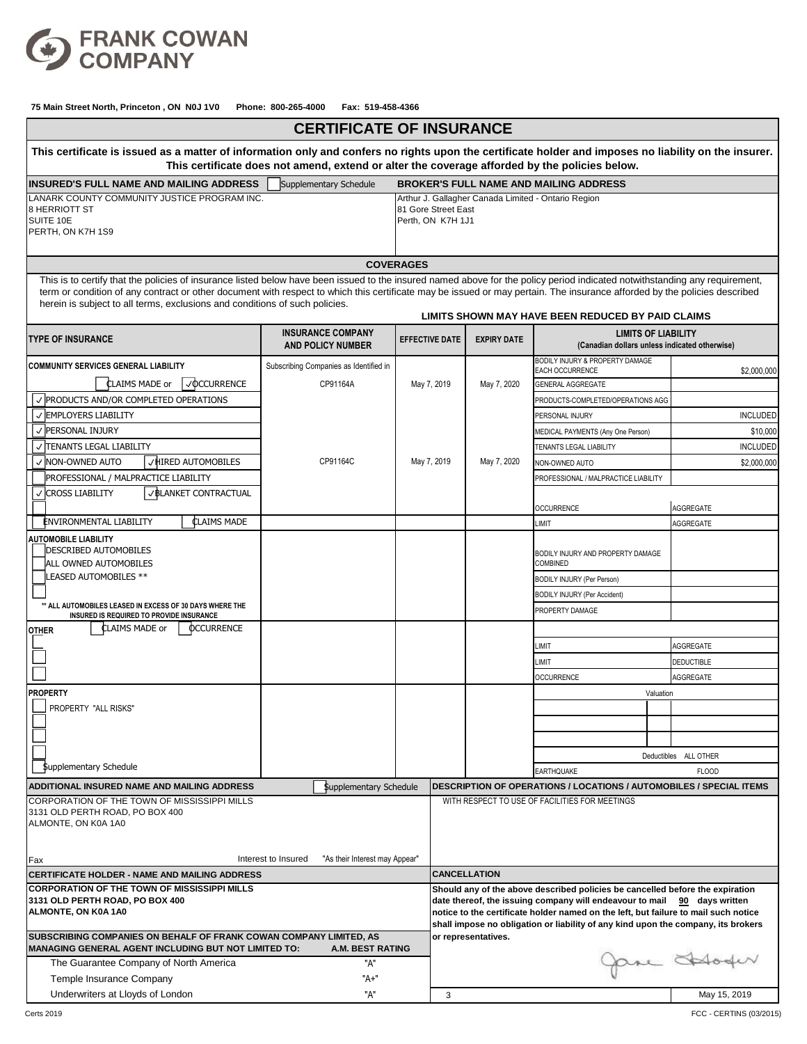

| <b>CERTIFICATE OF INSURANCE</b>                                                                                                                                                                                                                          |                                                       |                       |                                                                                                                                                                                                                                                                                                                                       |                                               |                                                                             |                       |  |  |  |
|----------------------------------------------------------------------------------------------------------------------------------------------------------------------------------------------------------------------------------------------------------|-------------------------------------------------------|-----------------------|---------------------------------------------------------------------------------------------------------------------------------------------------------------------------------------------------------------------------------------------------------------------------------------------------------------------------------------|-----------------------------------------------|-----------------------------------------------------------------------------|-----------------------|--|--|--|
| This certificate is issued as a matter of information only and confers no rights upon the certificate holder and imposes no liability on the insurer.<br>This certificate does not amend, extend or alter the coverage afforded by the policies below.   |                                                       |                       |                                                                                                                                                                                                                                                                                                                                       |                                               |                                                                             |                       |  |  |  |
| Supplementary Schedule<br><b>INSURED'S FULL NAME AND MAILING ADDRESS</b>                                                                                                                                                                                 |                                                       |                       |                                                                                                                                                                                                                                                                                                                                       | <b>BROKER'S FULL NAME AND MAILING ADDRESS</b> |                                                                             |                       |  |  |  |
| LANARK COUNTY COMMUNITY JUSTICE PROGRAM INC.<br>8 HERRIOTT ST<br>SUITE 10E<br>PERTH, ON K7H 1S9                                                                                                                                                          |                                                       |                       | Arthur J. Gallagher Canada Limited - Ontario Region<br>81 Gore Street East<br>Perth, ON K7H 1J1                                                                                                                                                                                                                                       |                                               |                                                                             |                       |  |  |  |
|                                                                                                                                                                                                                                                          |                                                       | <b>COVERAGES</b>      |                                                                                                                                                                                                                                                                                                                                       |                                               |                                                                             |                       |  |  |  |
| This is to certify that the policies of insurance listed below have been issued to the insured named above for the policy period indicated notwithstanding any requirement,                                                                              |                                                       |                       |                                                                                                                                                                                                                                                                                                                                       |                                               |                                                                             |                       |  |  |  |
| term or condition of any contract or other document with respect to which this certificate may be issued or may pertain. The insurance afforded by the policies described<br>herein is subject to all terms, exclusions and conditions of such policies. |                                                       |                       |                                                                                                                                                                                                                                                                                                                                       |                                               | LIMITS SHOWN MAY HAVE BEEN REDUCED BY PAID CLAIMS                           |                       |  |  |  |
| <b>TYPE OF INSURANCE</b>                                                                                                                                                                                                                                 | <b>INSURANCE COMPANY</b><br><b>AND POLICY NUMBER</b>  | <b>EFFECTIVE DATE</b> |                                                                                                                                                                                                                                                                                                                                       | <b>EXPIRY DATE</b>                            | <b>LIMITS OF LIABILITY</b><br>(Canadian dollars unless indicated otherwise) |                       |  |  |  |
| <b>COMMUNITY SERVICES GENERAL LIABILITY</b>                                                                                                                                                                                                              | Subscribing Companies as Identified in                |                       |                                                                                                                                                                                                                                                                                                                                       |                                               | BODILY INJURY & PROPERTY DAMAGE                                             |                       |  |  |  |
| CLAIMS MADE or<br>√ <b>OCCURRENCE</b>                                                                                                                                                                                                                    | CP91164A                                              | May 7, 2019           | May 7, 2020                                                                                                                                                                                                                                                                                                                           |                                               | EACH OCCURRENCE<br><b>GENERAL AGGREGATE</b>                                 | \$2,000,000           |  |  |  |
| $\vee$ PRODUCTS AND/OR COMPLETED OPERATIONS                                                                                                                                                                                                              |                                                       |                       |                                                                                                                                                                                                                                                                                                                                       |                                               | PRODUCTS-COMPLETED/OPERATIONS AGG                                           |                       |  |  |  |
| V EMPLOYERS LIABILITY                                                                                                                                                                                                                                    |                                                       |                       |                                                                                                                                                                                                                                                                                                                                       |                                               | PERSONAL INJURY                                                             | <b>INCLUDED</b>       |  |  |  |
| √ PERSONAL INJURY                                                                                                                                                                                                                                        |                                                       |                       |                                                                                                                                                                                                                                                                                                                                       |                                               | MEDICAL PAYMENTS (Any One Person)                                           | \$10,000              |  |  |  |
| √ TENANTS LEGAL LIABILITY                                                                                                                                                                                                                                |                                                       |                       |                                                                                                                                                                                                                                                                                                                                       |                                               | TENANTS LEGAL LIABILITY                                                     | <b>INCLUDED</b>       |  |  |  |
| VHIRED AUTOMOBILES<br>√ NON-OWNED AUTO                                                                                                                                                                                                                   | CP91164C                                              | May 7, 2019           |                                                                                                                                                                                                                                                                                                                                       | May 7, 2020                                   | NON-OWNED AUTO                                                              | \$2,000,000           |  |  |  |
| PROFESSIONAL / MALPRACTICE LIABILITY                                                                                                                                                                                                                     |                                                       |                       |                                                                                                                                                                                                                                                                                                                                       |                                               | PROFESSIONAL / MALPRACTICE LIABILITY                                        |                       |  |  |  |
| √ CROSS LIABILITY<br>V BLANKET CONTRACTUAL                                                                                                                                                                                                               |                                                       |                       |                                                                                                                                                                                                                                                                                                                                       |                                               | <b>OCCURRENCE</b>                                                           | AGGREGATE             |  |  |  |
| <b>CLAIMS MADE</b><br><b>ENVIRONMENTAL LIABILITY</b>                                                                                                                                                                                                     |                                                       |                       |                                                                                                                                                                                                                                                                                                                                       |                                               | <b>LIMIT</b>                                                                | AGGREGATE             |  |  |  |
| <b>AUTOMOBILE LIABILITY</b>                                                                                                                                                                                                                              |                                                       |                       |                                                                                                                                                                                                                                                                                                                                       |                                               |                                                                             |                       |  |  |  |
| <b>DESCRIBED AUTOMOBILES</b><br>ALL OWNED AUTOMOBILES                                                                                                                                                                                                    |                                                       |                       |                                                                                                                                                                                                                                                                                                                                       |                                               | BODILY INJURY AND PROPERTY DAMAGE<br>COMBINED                               |                       |  |  |  |
| LEASED AUTOMOBILES **                                                                                                                                                                                                                                    |                                                       |                       |                                                                                                                                                                                                                                                                                                                                       |                                               | <b>BODILY INJURY (Per Person)</b>                                           |                       |  |  |  |
|                                                                                                                                                                                                                                                          |                                                       |                       |                                                                                                                                                                                                                                                                                                                                       |                                               | <b>BODILY INJURY (Per Accident)</b>                                         |                       |  |  |  |
| ** ALL AUTOMOBILES LEASED IN EXCESS OF 30 DAYS WHERE THE<br>INSURED IS REQUIRED TO PROVIDE INSURANCE                                                                                                                                                     |                                                       |                       |                                                                                                                                                                                                                                                                                                                                       |                                               | PROPERTY DAMAGE                                                             |                       |  |  |  |
| CLAIMS MADE or<br><b>OCCURRENCE</b><br><b>OTHER</b>                                                                                                                                                                                                      |                                                       |                       |                                                                                                                                                                                                                                                                                                                                       |                                               |                                                                             |                       |  |  |  |
|                                                                                                                                                                                                                                                          |                                                       |                       |                                                                                                                                                                                                                                                                                                                                       |                                               | <b>LIMIT</b>                                                                | AGGREGATE             |  |  |  |
|                                                                                                                                                                                                                                                          |                                                       |                       |                                                                                                                                                                                                                                                                                                                                       |                                               | <b>LIMIT</b>                                                                | <b>DEDUCTIBLE</b>     |  |  |  |
|                                                                                                                                                                                                                                                          |                                                       |                       |                                                                                                                                                                                                                                                                                                                                       |                                               | <b>OCCURRENCE</b>                                                           | <b>AGGREGATE</b>      |  |  |  |
| <b>PROPERTY</b>                                                                                                                                                                                                                                          |                                                       |                       |                                                                                                                                                                                                                                                                                                                                       |                                               |                                                                             | Valuation             |  |  |  |
| PROPERTY "ALL RISKS"                                                                                                                                                                                                                                     |                                                       |                       |                                                                                                                                                                                                                                                                                                                                       |                                               |                                                                             |                       |  |  |  |
|                                                                                                                                                                                                                                                          |                                                       |                       |                                                                                                                                                                                                                                                                                                                                       |                                               |                                                                             |                       |  |  |  |
|                                                                                                                                                                                                                                                          |                                                       |                       |                                                                                                                                                                                                                                                                                                                                       |                                               |                                                                             |                       |  |  |  |
|                                                                                                                                                                                                                                                          |                                                       |                       |                                                                                                                                                                                                                                                                                                                                       |                                               |                                                                             | Deductibles ALL OTHER |  |  |  |
| <b>Supplementary Schedule</b>                                                                                                                                                                                                                            |                                                       |                       |                                                                                                                                                                                                                                                                                                                                       |                                               | EARTHQUAKE                                                                  | <b>FLOOD</b>          |  |  |  |
| ADDITIONAL INSURED NAME AND MAILING ADDRESS                                                                                                                                                                                                              | \$upplementary Schedule                               |                       |                                                                                                                                                                                                                                                                                                                                       |                                               | <b>DESCRIPTION OF OPERATIONS / LOCATIONS / AUTOMOBILES / SPECIAL ITEMS</b>  |                       |  |  |  |
| CORPORATION OF THE TOWN OF MISSISSIPPI MILLS<br>3131 OLD PERTH ROAD, PO BOX 400<br>ALMONTE, ON K0A 1A0<br>Fax                                                                                                                                            | Interest to Insured<br>"As their Interest may Appear" |                       |                                                                                                                                                                                                                                                                                                                                       |                                               | WITH RESPECT TO USE OF FACILITIES FOR MEETINGS                              |                       |  |  |  |
| <b>CERTIFICATE HOLDER - NAME AND MAILING ADDRESS</b>                                                                                                                                                                                                     |                                                       |                       | <b>CANCELLATION</b>                                                                                                                                                                                                                                                                                                                   |                                               |                                                                             |                       |  |  |  |
| <b>CORPORATION OF THE TOWN OF MISSISSIPPI MILLS</b><br>3131 OLD PERTH ROAD, PO BOX 400<br>ALMONTE, ON K0A 1A0                                                                                                                                            |                                                       |                       | Should any of the above described policies be cancelled before the expiration<br>date thereof, the issuing company will endeavour to mail 90 days written<br>notice to the certificate holder named on the left, but failure to mail such notice<br>shall impose no obligation or liability of any kind upon the company, its brokers |                                               |                                                                             |                       |  |  |  |
| SUBSCRIBING COMPANIES ON BEHALF OF FRANK COWAN COMPANY LIMITED, AS<br>IMANAGING GENERAL AGENT INCLUDING BUT NOT LIMITED TO:<br><b>A.M. BEST RATING</b><br>The Guarantee Company of North America<br>"A"                                                  |                                                       |                       | or representatives.<br>pre Hoder                                                                                                                                                                                                                                                                                                      |                                               |                                                                             |                       |  |  |  |
| Temple Insurance Company                                                                                                                                                                                                                                 | "A+"                                                  |                       |                                                                                                                                                                                                                                                                                                                                       |                                               |                                                                             |                       |  |  |  |
| Underwriters at Lloyds of London                                                                                                                                                                                                                         | "A"                                                   |                       | 3                                                                                                                                                                                                                                                                                                                                     |                                               |                                                                             | May 15, 2019          |  |  |  |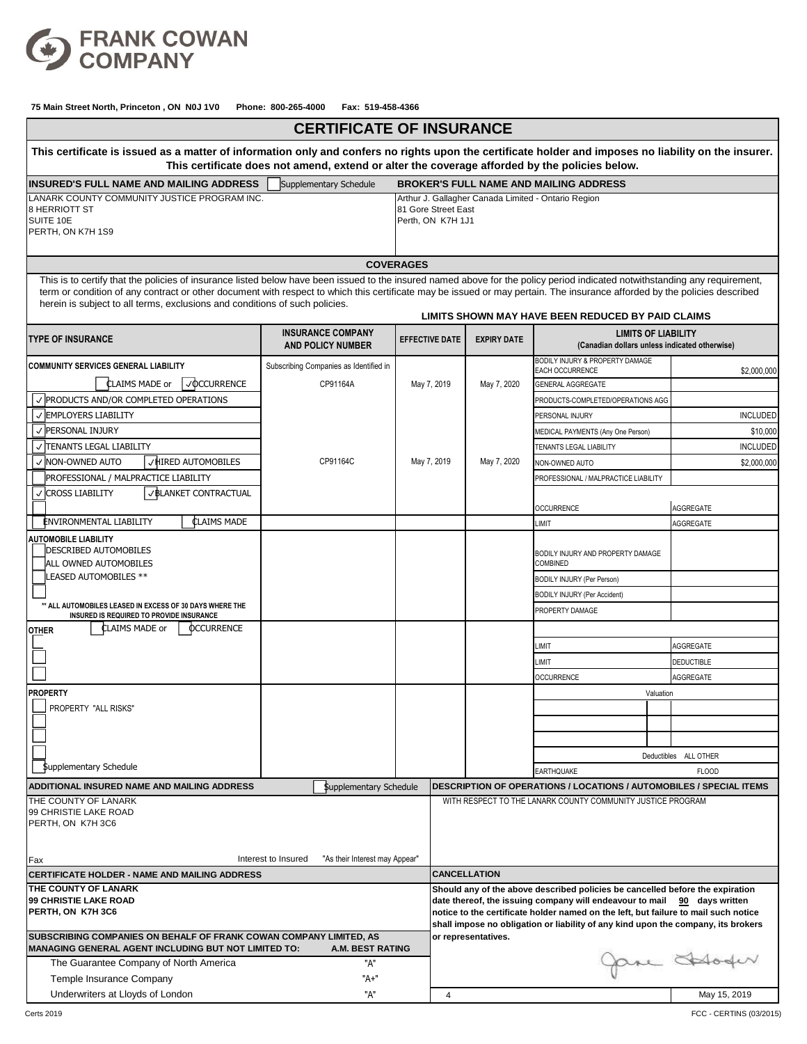

| <b>CERTIFICATE OF INSURANCE</b>                                                                                                                                                                                                                                                                               |                                                      |                       |                                                                                                                                                                                                                                                                                                                                       |                                                             |                                                                             |           |                       |  |  |
|---------------------------------------------------------------------------------------------------------------------------------------------------------------------------------------------------------------------------------------------------------------------------------------------------------------|------------------------------------------------------|-----------------------|---------------------------------------------------------------------------------------------------------------------------------------------------------------------------------------------------------------------------------------------------------------------------------------------------------------------------------------|-------------------------------------------------------------|-----------------------------------------------------------------------------|-----------|-----------------------|--|--|
| This certificate is issued as a matter of information only and confers no rights upon the certificate holder and imposes no liability on the insurer.<br>This certificate does not amend, extend or alter the coverage afforded by the policies below.                                                        |                                                      |                       |                                                                                                                                                                                                                                                                                                                                       |                                                             |                                                                             |           |                       |  |  |
| Supplementary Schedule<br><b>INSURED'S FULL NAME AND MAILING ADDRESS</b>                                                                                                                                                                                                                                      |                                                      |                       |                                                                                                                                                                                                                                                                                                                                       | <b>BROKER'S FULL NAME AND MAILING ADDRESS</b>               |                                                                             |           |                       |  |  |
| LANARK COUNTY COMMUNITY JUSTICE PROGRAM INC.<br>8 HERRIOTT ST<br>SUITE 10E<br>PERTH, ON K7H 1S9                                                                                                                                                                                                               |                                                      |                       | Arthur J. Gallagher Canada Limited - Ontario Region<br>81 Gore Street East<br>Perth, ON K7H 1J1                                                                                                                                                                                                                                       |                                                             |                                                                             |           |                       |  |  |
|                                                                                                                                                                                                                                                                                                               |                                                      | <b>COVERAGES</b>      |                                                                                                                                                                                                                                                                                                                                       |                                                             |                                                                             |           |                       |  |  |
| This is to certify that the policies of insurance listed below have been issued to the insured named above for the policy period indicated notwithstanding any requirement,                                                                                                                                   |                                                      |                       |                                                                                                                                                                                                                                                                                                                                       |                                                             |                                                                             |           |                       |  |  |
| term or condition of any contract or other document with respect to which this certificate may be issued or may pertain. The insurance afforded by the policies described<br>herein is subject to all terms, exclusions and conditions of such policies.<br>LIMITS SHOWN MAY HAVE BEEN REDUCED BY PAID CLAIMS |                                                      |                       |                                                                                                                                                                                                                                                                                                                                       |                                                             |                                                                             |           |                       |  |  |
| <b>TYPE OF INSURANCE</b>                                                                                                                                                                                                                                                                                      | <b>INSURANCE COMPANY</b><br><b>AND POLICY NUMBER</b> | <b>EFFECTIVE DATE</b> |                                                                                                                                                                                                                                                                                                                                       | <b>EXPIRY DATE</b>                                          | <b>LIMITS OF LIABILITY</b><br>(Canadian dollars unless indicated otherwise) |           |                       |  |  |
| <b>COMMUNITY SERVICES GENERAL LIABILITY</b>                                                                                                                                                                                                                                                                   | Subscribing Companies as Identified in               |                       |                                                                                                                                                                                                                                                                                                                                       |                                                             | BODILY INJURY & PROPERTY DAMAGE<br>EACH OCCURRENCE                          |           |                       |  |  |
| <b>CLAIMS MADE or</b><br>√ <b>OCCURRENCE</b>                                                                                                                                                                                                                                                                  | CP91164A                                             | May 7, 2019           | May 7, 2020                                                                                                                                                                                                                                                                                                                           |                                                             | <b>GENERAL AGGREGATE</b>                                                    |           | \$2,000,000           |  |  |
| √ PRODUCTS AND/OR COMPLETED OPERATIONS                                                                                                                                                                                                                                                                        |                                                      |                       |                                                                                                                                                                                                                                                                                                                                       |                                                             | PRODUCTS-COMPLETED/OPERATIONS AGG                                           |           |                       |  |  |
| √ EMPLOYERS LIABILITY                                                                                                                                                                                                                                                                                         |                                                      |                       |                                                                                                                                                                                                                                                                                                                                       |                                                             | PERSONAL INJURY                                                             |           | <b>INCLUDED</b>       |  |  |
| √ PERSONAL INJURY                                                                                                                                                                                                                                                                                             |                                                      |                       |                                                                                                                                                                                                                                                                                                                                       |                                                             | MEDICAL PAYMENTS (Any One Person)                                           |           | \$10,000              |  |  |
| V TENANTS LEGAL LIABILITY                                                                                                                                                                                                                                                                                     |                                                      |                       |                                                                                                                                                                                                                                                                                                                                       |                                                             | <b>TENANTS LEGAL LIABILITY</b>                                              |           | <b>INCLUDED</b>       |  |  |
| √ HIRED AUTOMOBILES<br>✓ INON-OWNED AUTO                                                                                                                                                                                                                                                                      | CP91164C                                             | May 7, 2019           |                                                                                                                                                                                                                                                                                                                                       | May 7, 2020                                                 | NON-OWNED AUTO                                                              |           | \$2,000,000           |  |  |
| PROFESSIONAL / MALPRACTICE LIABILITY                                                                                                                                                                                                                                                                          |                                                      |                       |                                                                                                                                                                                                                                                                                                                                       |                                                             | PROFESSIONAL / MALPRACTICE LIABILITY                                        |           |                       |  |  |
| √ BLANKET CONTRACTUAL<br>√ CROSS LIABILITY                                                                                                                                                                                                                                                                    |                                                      |                       |                                                                                                                                                                                                                                                                                                                                       |                                                             | <b>OCCURRENCE</b>                                                           |           | AGGREGATE             |  |  |
| <b>CLAIMS MADE</b><br><b>ENVIRONMENTAL LIABILITY</b>                                                                                                                                                                                                                                                          |                                                      |                       |                                                                                                                                                                                                                                                                                                                                       |                                                             | LIMIT                                                                       |           | AGGREGATE             |  |  |
| <b>AUTOMOBILE LIABILITY</b>                                                                                                                                                                                                                                                                                   |                                                      |                       |                                                                                                                                                                                                                                                                                                                                       |                                                             |                                                                             |           |                       |  |  |
| <b>DESCRIBED AUTOMOBILES</b><br>ALL OWNED AUTOMOBILES                                                                                                                                                                                                                                                         |                                                      |                       |                                                                                                                                                                                                                                                                                                                                       |                                                             | BODILY INJURY AND PROPERTY DAMAGE<br>COMBINED                               |           |                       |  |  |
| LEASED AUTOMOBILES **                                                                                                                                                                                                                                                                                         |                                                      |                       |                                                                                                                                                                                                                                                                                                                                       |                                                             | <b>BODILY INJURY (Per Person)</b>                                           |           |                       |  |  |
|                                                                                                                                                                                                                                                                                                               |                                                      |                       |                                                                                                                                                                                                                                                                                                                                       |                                                             | BODILY INJURY (Per Accident)                                                |           |                       |  |  |
| ** ALL AUTOMOBILES LEASED IN EXCESS OF 30 DAYS WHERE THE<br>INSURED IS REQUIRED TO PROVIDE INSURANCE                                                                                                                                                                                                          |                                                      |                       |                                                                                                                                                                                                                                                                                                                                       |                                                             | PROPERTY DAMAGE                                                             |           |                       |  |  |
| <b>CLAIMS MADE or</b><br><b>OCCURRENCE</b><br><b>OTHER</b>                                                                                                                                                                                                                                                    |                                                      |                       |                                                                                                                                                                                                                                                                                                                                       |                                                             |                                                                             |           |                       |  |  |
|                                                                                                                                                                                                                                                                                                               |                                                      |                       |                                                                                                                                                                                                                                                                                                                                       |                                                             | <b>IMIT</b>                                                                 |           | <b>AGGREGATE</b>      |  |  |
|                                                                                                                                                                                                                                                                                                               |                                                      |                       |                                                                                                                                                                                                                                                                                                                                       |                                                             | <b>LIMIT</b>                                                                |           | <b>DEDUCTIBLE</b>     |  |  |
|                                                                                                                                                                                                                                                                                                               |                                                      |                       |                                                                                                                                                                                                                                                                                                                                       |                                                             | <b>OCCURRENCE</b>                                                           |           | AGGREGATE             |  |  |
| <b>PROPERTY</b>                                                                                                                                                                                                                                                                                               |                                                      |                       |                                                                                                                                                                                                                                                                                                                                       |                                                             |                                                                             | Valuation |                       |  |  |
| PROPERTY "ALL RISKS"                                                                                                                                                                                                                                                                                          |                                                      |                       |                                                                                                                                                                                                                                                                                                                                       |                                                             |                                                                             |           |                       |  |  |
|                                                                                                                                                                                                                                                                                                               |                                                      |                       |                                                                                                                                                                                                                                                                                                                                       |                                                             |                                                                             |           |                       |  |  |
|                                                                                                                                                                                                                                                                                                               |                                                      |                       |                                                                                                                                                                                                                                                                                                                                       |                                                             |                                                                             |           |                       |  |  |
|                                                                                                                                                                                                                                                                                                               |                                                      |                       |                                                                                                                                                                                                                                                                                                                                       |                                                             |                                                                             |           | Deductibles ALL OTHER |  |  |
| Supplementary Schedule                                                                                                                                                                                                                                                                                        |                                                      |                       |                                                                                                                                                                                                                                                                                                                                       |                                                             | <b>EARTHQUAKE</b>                                                           |           | <b>FLOOD</b>          |  |  |
| ADDITIONAL INSURED NAME AND MAILING ADDRESS                                                                                                                                                                                                                                                                   | <b>Supplementary Schedule</b>                        |                       |                                                                                                                                                                                                                                                                                                                                       |                                                             | <b>DESCRIPTION OF OPERATIONS / LOCATIONS / AUTOMOBILES / SPECIAL ITEMS</b>  |           |                       |  |  |
| THE COUNTY OF LANARK<br>99 CHRISTIE LAKE ROAD<br>PERTH, ON K7H 3C6<br>Interest to Insured<br>"As their Interest may Appear"<br>Fax                                                                                                                                                                            |                                                      |                       |                                                                                                                                                                                                                                                                                                                                       | WITH RESPECT TO THE LANARK COUNTY COMMUNITY JUSTICE PROGRAM |                                                                             |           |                       |  |  |
| CERTIFICATE HOLDER - NAME AND MAILING ADDRESS                                                                                                                                                                                                                                                                 |                                                      |                       | <b>CANCELLATION</b>                                                                                                                                                                                                                                                                                                                   |                                                             |                                                                             |           |                       |  |  |
| THE COUNTY OF LANARK<br>99 CHRISTIE LAKE ROAD<br>PERTH, ON K7H 3C6                                                                                                                                                                                                                                            |                                                      |                       | Should any of the above described policies be cancelled before the expiration<br>date thereof, the issuing company will endeavour to mail 90 days written<br>notice to the certificate holder named on the left, but failure to mail such notice<br>shall impose no obligation or liability of any kind upon the company, its brokers |                                                             |                                                                             |           |                       |  |  |
| SUBSCRIBING COMPANIES ON BEHALF OF FRANK COWAN COMPANY LIMITED, AS<br><b>MANAGING GENERAL AGENT INCLUDING BUT NOT LIMITED TO:</b><br>A.M. BEST RATING<br>"A"<br>The Guarantee Company of North America                                                                                                        |                                                      |                       | or representatives.<br>pre Hoder                                                                                                                                                                                                                                                                                                      |                                                             |                                                                             |           |                       |  |  |
| Temple Insurance Company                                                                                                                                                                                                                                                                                      | "A+"                                                 |                       |                                                                                                                                                                                                                                                                                                                                       |                                                             |                                                                             |           |                       |  |  |
| Underwriters at Lloyds of London                                                                                                                                                                                                                                                                              | "A"                                                  |                       | $\overline{4}$                                                                                                                                                                                                                                                                                                                        |                                                             |                                                                             |           | May 15, 2019          |  |  |